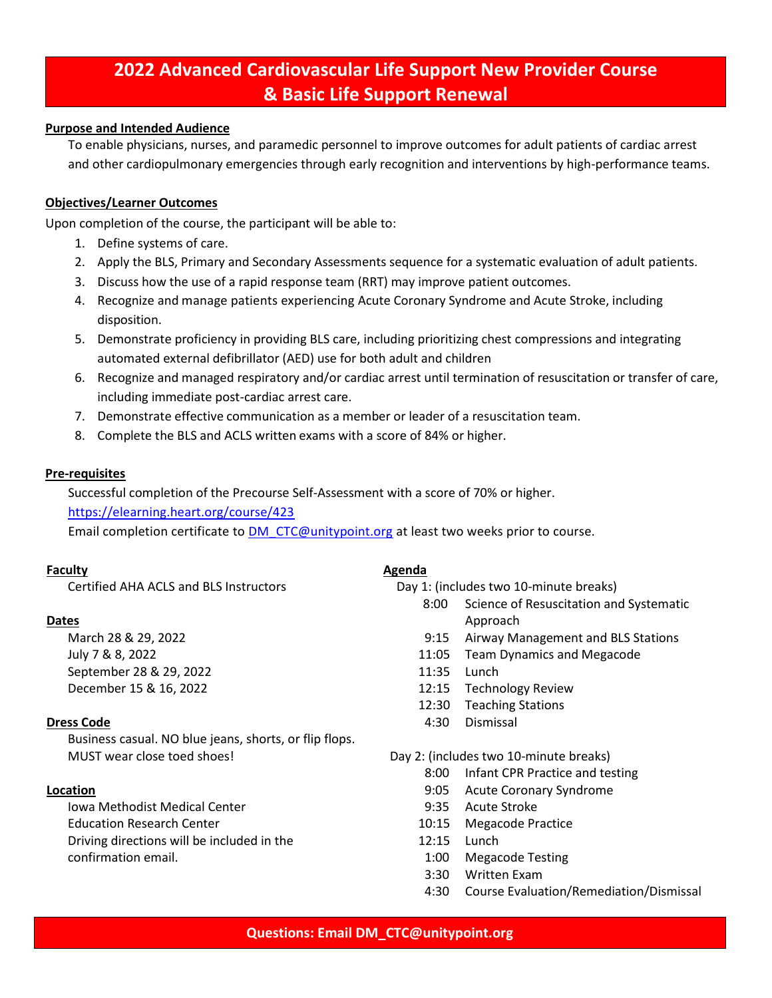# **2022 Advanced Cardiovascular Life Support New Provider Course & Basic Life Support Renewal**

## **Purpose and Intended Audience**

To enable physicians, nurses, and paramedic personnel to improve outcomes for adult patients of cardiac arrest and other cardiopulmonary emergencies through early recognition and interventions by high-performance teams.

## **Objectives/Learner Outcomes**

Upon completion of the course, the participant will be able to:

- 1. Define systems of care.
- 2. Apply the BLS, Primary and Secondary Assessments sequence for a systematic evaluation of adult patients.
- 3. Discuss how the use of a rapid response team (RRT) may improve patient outcomes.
- 4. Recognize and manage patients experiencing Acute Coronary Syndrome and Acute Stroke, including disposition.
- 5. Demonstrate proficiency in providing BLS care, including prioritizing chest compressions and integrating automated external defibrillator (AED) use for both adult and children
- 6. Recognize and managed respiratory and/or cardiac arrest until termination of resuscitation or transfer of care, including immediate post-cardiac arrest care.
- 7. Demonstrate effective communication as a member or leader of a resuscitation team.
- 8. Complete the BLS and ACLS written exams with a score of 84% or higher.

### **Pre-requisites**

Successful completion of the Precourse Self-Assessment with a score of 70% or higher.

### <https://elearning.heart.org/course/423>

Email completion certificate to [DM\\_CTC@unitypoint.org](mailto:DM_CTC@unitypoint.org) at least two weeks prior to course.

### **Faculty**

Certified AHA ACLS and BLS Instructors

### **Dates**

March 28 & 29, 2022 July 7 & 8, 2022 September 28 & 29, 2022 December 15 & 16, 2022

### **Dress Code**

Business casual. NO blue jeans, shorts, or flip flops. MUST wear close toed shoes!

### **Location**

Iowa Methodist Medical Center Education Research Center Driving directions will be included in the confirmation email.

#### **Agenda**

Day 1: (includes two 10-minute breaks)

- 8:00 Science of Resuscitation and Systematic Approach
- 9:15 Airway Management and BLS Stations
- 11:05 Team Dynamics and Megacode
- 11:35 Lunch
- 12:15 Technology Review
- 12:30 Teaching Stations
- 4:30 Dismissal

Day 2: (includes two 10-minute breaks)

- 8:00 Infant CPR Practice and testing
- 9:05 Acute Coronary Syndrome
- 9:35 Acute Stroke
- 10:15 Megacode Practice
- 12:15 Lunch
- 1:00 Megacode Testing
- 3:30 Written Exam
- 4:30 Course Evaluation/Remediation/Dismissal